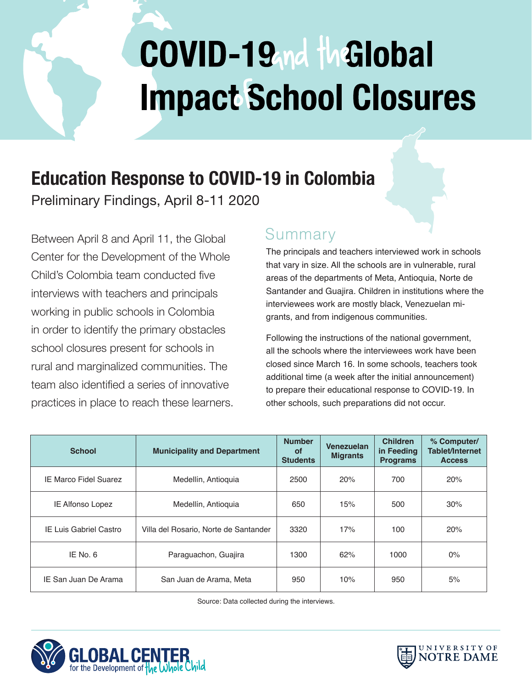# COVID-19<sub>nd</sub> the lobal **Impact School Closures**

## **Education Response to COVID-19 in Colombia**

Preliminary Findings, April 8-11 2020

Between April 8 and April 11, the Global Center for the Development of the Whole Child's Colombia team conducted five interviews with teachers and principals working in public schools in Colombia in order to identify the primary obstacles school closures present for schools in rural and marginalized communities. The team also identified a series of innovative practices in place to reach these learners.

#### Summary

The principals and teachers interviewed work in schools that vary in size. All the schools are in vulnerable, rural areas of the departments of Meta, Antioquia, Norte de Santander and Guajira. Children in institutions where the interviewees work are mostly black, Venezuelan migrants, and from indigenous communities.

Following the instructions of the national government, all the schools where the interviewees work have been closed since March 16. In some schools, teachers took additional time (a week after the initial announcement) to prepare their educational response to COVID-19. In other schools, such preparations did not occur.

| <b>School</b>                | <b>Municipality and Department</b>    | <b>Number</b><br>οf<br><b>Students</b> | Venezuelan<br><b>Migrants</b> | <b>Children</b><br>in Feeding<br><b>Programs</b> | % Computer/<br><b>Tablet/Internet</b><br><b>Access</b> |
|------------------------------|---------------------------------------|----------------------------------------|-------------------------------|--------------------------------------------------|--------------------------------------------------------|
| <b>IE Marco Fidel Suarez</b> | Medellín, Antioquia                   | 2500                                   | 20%                           | 700                                              | 20%                                                    |
| IE Alfonso Lopez             | Medellín, Antioquia                   | 650                                    | 15%                           | 500                                              | 30%                                                    |
| IE Luis Gabriel Castro       | Villa del Rosario, Norte de Santander | 3320                                   | 17%                           | 100                                              | 20%                                                    |
| IE No. $6$                   | Paraguachon, Guajira                  | 1300                                   | 62%                           | 1000                                             | $0\%$                                                  |
| IE San Juan De Arama         | San Juan de Arama, Meta               | 950                                    | 10%                           | 950                                              | 5%                                                     |

Source: Data collected during the interviews.



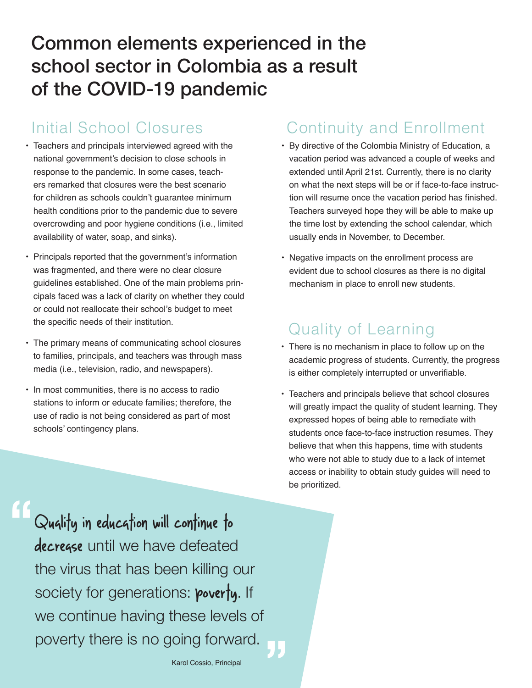### Common elements experienced in the school sector in Colombia as a result of the COVID-19 pandemic

- Teachers and principals interviewed agreed with the national government's decision to close schools in response to the pandemic. In some cases, teachers remarked that closures were the best scenario for children as schools couldn't guarantee minimum health conditions prior to the pandemic due to severe overcrowding and poor hygiene conditions (i.e., limited availability of water, soap, and sinks).
- Principals reported that the government's information was fragmented, and there were no clear closure guidelines established. One of the main problems principals faced was a lack of clarity on whether they could or could not reallocate their school's budget to meet the specific needs of their institution.
- The primary means of communicating school closures to families, principals, and teachers was through mass media (i.e., television, radio, and newspapers).
- In most communities, there is no access to radio stations to inform or educate families; therefore, the use of radio is not being considered as part of most schools' contingency plans.

#### Initial School Closures Continuity and Enrollment

- By directive of the Colombia Ministry of Education, a vacation period was advanced a couple of weeks and extended until April 21st. Currently, there is no clarity on what the next steps will be or if face-to-face instruction will resume once the vacation period has finished. Teachers surveyed hope they will be able to make up the time lost by extending the school calendar, which usually ends in November, to December.
- Negative impacts on the enrollment process are evident due to school closures as there is no digital mechanism in place to enroll new students.

#### Quality of Learning

- There is no mechanism in place to follow up on the academic progress of students. Currently, the progress is either completely interrupted or unverifiable.
- Teachers and principals believe that school closures will greatly impact the quality of student learning. They expressed hopes of being able to remediate with students once face-to-face instruction resumes. They believe that when this happens, time with students who were not able to study due to a lack of internet access or inability to obtain study guides will need to be prioritized.

Quality in education will continue to decrease until we have defeated the virus that has been killing our society for generations: **poverty**. If we continue having these levels of poverty there is no going forward. **"**

**"**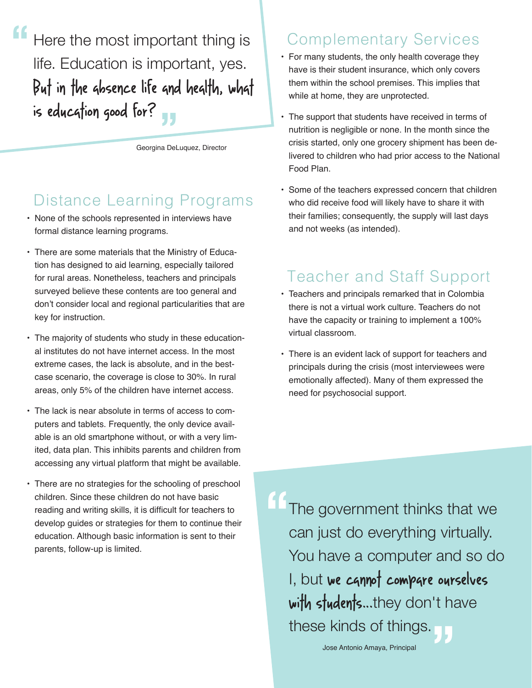Here the most important thing is life. Education is important, yes. But in the absence life and health, what is education good for? **" "**

Georgina DeLuquez, Director

#### Distance Learning Programs

- None of the schools represented in interviews have formal distance learning programs.
- There are some materials that the Ministry of Education has designed to aid learning, especially tailored for rural areas. Nonetheless, teachers and principals surveyed believe these contents are too general and don't consider local and regional particularities that are key for instruction.
- The majority of students who study in these educational institutes do not have internet access. In the most extreme cases, the lack is absolute, and in the bestcase scenario, the coverage is close to 30%. In rural areas, only 5% of the children have internet access.
- The lack is near absolute in terms of access to computers and tablets. Frequently, the only device available is an old smartphone without, or with a very limited, data plan. This inhibits parents and children from accessing any virtual platform that might be available.
- There are no strategies for the schooling of preschool children. Since these children do not have basic reading and writing skills, it is difficult for teachers to develop guides or strategies for them to continue their education. Although basic information is sent to their parents, follow-up is limited.

#### Complementary Services

- For many students, the only health coverage they have is their student insurance, which only covers them within the school premises. This implies that while at home, they are unprotected.
- The support that students have received in terms of nutrition is negligible or none. In the month since the crisis started, only one grocery shipment has been delivered to children who had prior access to the National Food Plan.
- Some of the teachers expressed concern that children who did receive food will likely have to share it with their families; consequently, the supply will last days and not weeks (as intended).

#### Teacher and Staff Support

- Teachers and principals remarked that in Colombia there is not a virtual work culture. Teachers do not have the capacity or training to implement a 100% virtual classroom.
- There is an evident lack of support for teachers and principals during the crisis (most interviewees were emotionally affected). Many of them expressed the need for psychosocial support.

The government thinks that we can just do everything virtually. You have a computer and so do I, but we cannot compare ourselves with students...they don't have these kinds of things. **" "**